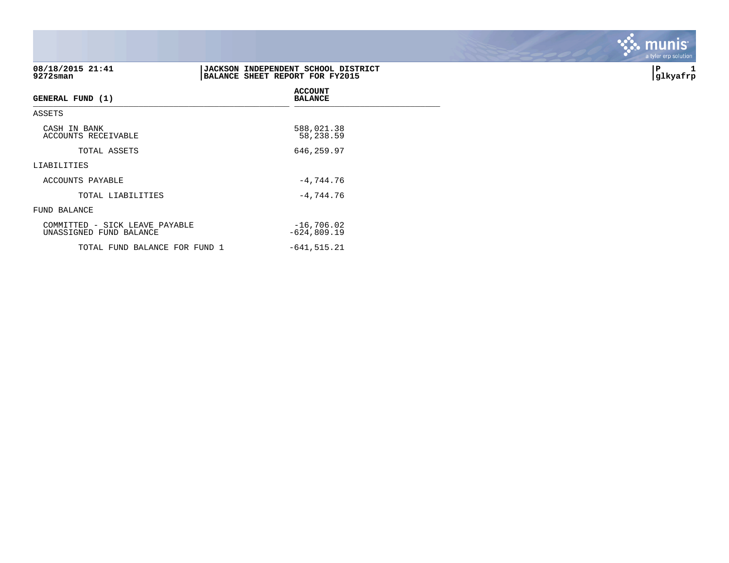| 08/18/2015 21:41<br>9272sman                              | BALANCE SHEET REPORT FOR FY2015 | JACKSON INDEPENDENT SCHOOL DISTRICT |
|-----------------------------------------------------------|---------------------------------|-------------------------------------|
| <b>GENERAL FUND (1)</b>                                   |                                 | <b>ACCOUNT</b><br><b>BALANCE</b>    |
| ASSETS                                                    |                                 |                                     |
| CASH IN BANK<br>ACCOUNTS RECEIVABLE                       |                                 | 588,021.38<br>58,238.59             |
| TOTAL ASSETS                                              |                                 | 646,259.97                          |
| LIABILITIES                                               |                                 |                                     |
| ACCOUNTS PAYABLE                                          |                                 | $-4,744.76$                         |
| TOTAL LIABILITIES                                         |                                 | $-4,744.76$                         |
| FUND BALANCE                                              |                                 |                                     |
| COMMITTED - SICK LEAVE PAYABLE<br>UNASSIGNED FUND BALANCE |                                 | $-16,706.02$<br>$-624,809.19$       |
| TOTAL FUND BALANCE FOR FUND 1                             |                                 | $-641, 515.21$                      |

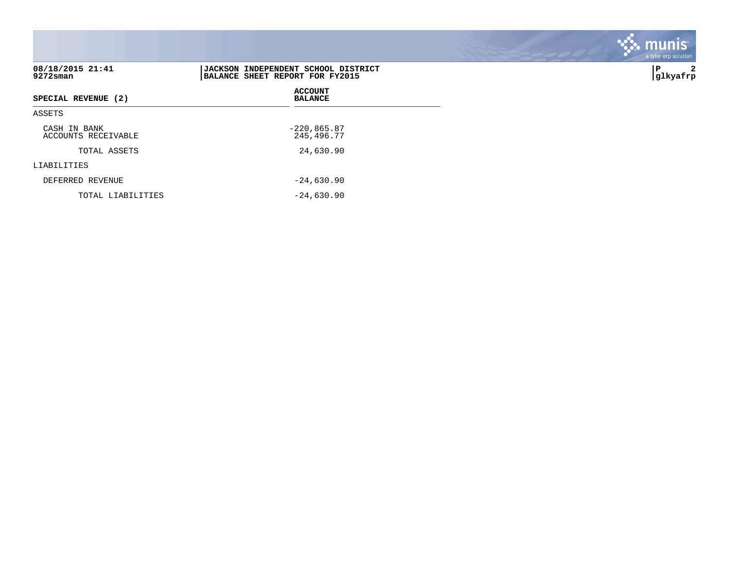| 08/18/2015 21:41<br>9272sman        | JACKSON INDEPENDENT SCHOOL DISTRICT<br>BALANCE SHEET REPORT FOR FY2015 |
|-------------------------------------|------------------------------------------------------------------------|
| SPECIAL REVENUE (2)                 | <b>ACCOUNT</b><br><b>BALANCE</b>                                       |
| ASSETS                              |                                                                        |
| CASH IN BANK<br>ACCOUNTS RECEIVABLE | $-220,865.87$<br>245,496.77                                            |
| TOTAL ASSETS                        | 24,630.90                                                              |
| LIABILITIES                         |                                                                        |
| DEFERRED REVENUE                    | $-24,630.90$                                                           |
| TOTAL LIABILITIES                   | $-24,630.90$                                                           |

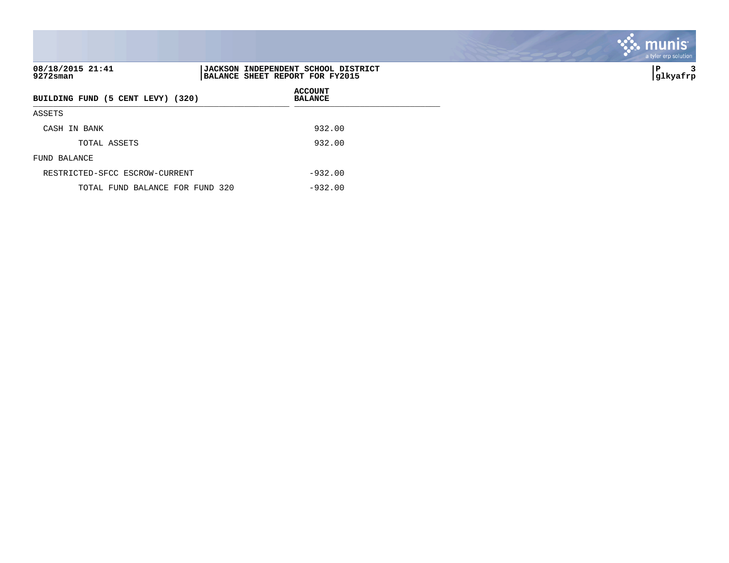| 08/18/2015 21:41<br>9272sman      | JACKSON INDEPENDENT SCHOOL DISTRICT<br>BALANCE SHEET REPORT FOR FY2015 |
|-----------------------------------|------------------------------------------------------------------------|
| BUILDING FUND (5 CENT LEVY) (320) | <b>ACCOUNT</b><br><b>BALANCE</b>                                       |
| ASSETS                            |                                                                        |
| CASH IN BANK                      | 932.00                                                                 |
| TOTAL ASSETS                      | 932.00                                                                 |
| FUND BALANCE                      |                                                                        |
| RESTRICTED-SFCC ESCROW-CURRENT    | $-932.00$                                                              |
| TOTAL FUND BALANCE FOR FUND 320   | $-932.00$                                                              |

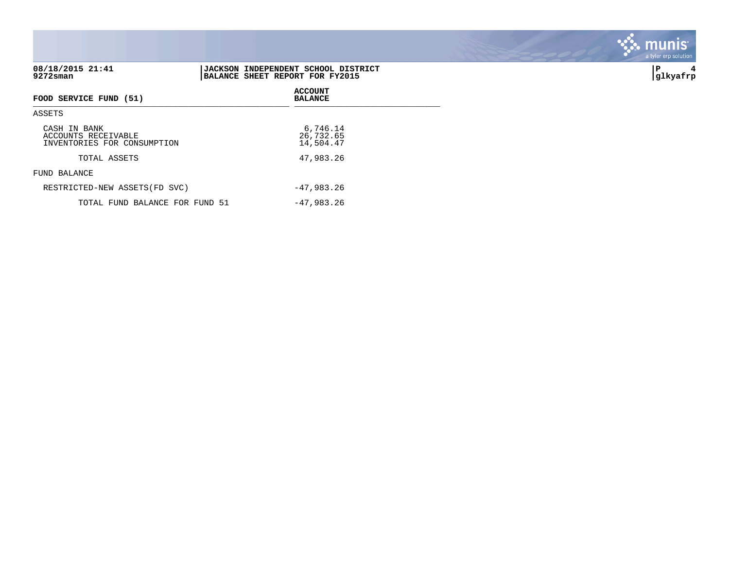| 08/18/2015 21:41<br>9272sman                                       | JACKSON INDEPENDENT SCHOOL DISTRICT<br>BALANCE SHEET REPORT FOR FY2015 | 4<br>∣P<br> glkyafrp |
|--------------------------------------------------------------------|------------------------------------------------------------------------|----------------------|
| <b>FOOD SERVICE FUND (51)</b>                                      | <b>ACCOUNT</b><br><b>BALANCE</b>                                       |                      |
| ASSETS                                                             |                                                                        |                      |
| CASH IN BANK<br>ACCOUNTS RECEIVABLE<br>INVENTORIES FOR CONSUMPTION | 6,746.14<br>26,732.65<br>14,504.47                                     |                      |
| TOTAL ASSETS                                                       | 47,983.26                                                              |                      |
| FUND BALANCE                                                       |                                                                        |                      |
| RESTRICTED-NEW ASSETS (FD SVC)                                     | $-47,983.26$                                                           |                      |
| TOTAL FUND BALANCE FOR FUND 51                                     | $-47,983.26$                                                           |                      |

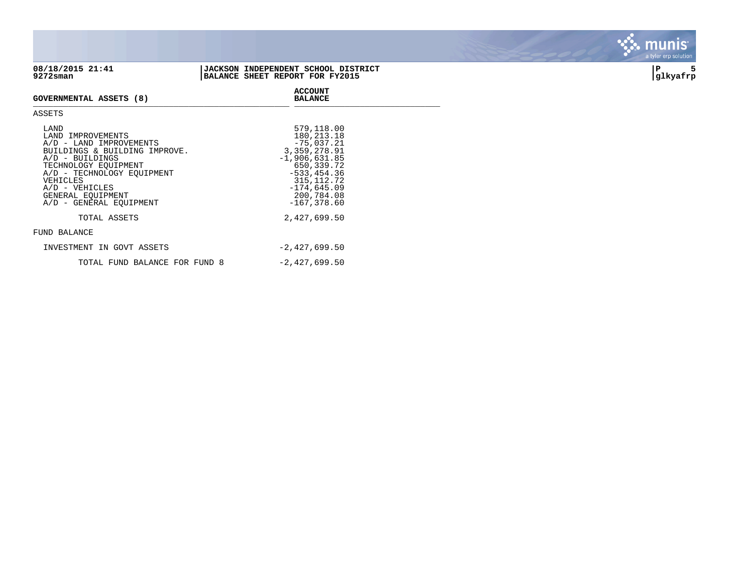

## **08/18/2015 21:41 |JACKSON INDEPENDENT SCHOOL DISTRICT |P 5 9272sman |BALANCE SHEET REPORT FOR FY2015 |glkyafrp**

**ACCOUNT**



## **GOVERNMENTAL ASSETS (8)** GOVERNMENTAL ASSETS (0)

| ٠<br>I<br>۰,<br>۰. |
|--------------------|
|--------------------|

| T.AND<br>LAND IMPROVEMENTS<br>A/D - LAND IMPROVEMENTS<br>BUILDINGS & BUILDING IMPROVE.<br>$A/D$ - BUILDINGS<br>TECHNOLOGY EOUIPMENT<br>A/D - TECHNOLOGY EQUIPMENT<br>VEHICLES<br>$A/D - VEHICLES$<br>GENERAL EOUIPMENT<br>A/D - GENERAL EOUIPMENT | 579,118.00<br>180, 213. 18<br>$-75.037.21$<br>3,359,278.91<br>$-1,906,631.85$<br>650,339.72<br>$-533, 454.36$<br>315, 112. 72<br>$-174,645.09$<br>200,784.08<br>$-167, 378.60$ |
|---------------------------------------------------------------------------------------------------------------------------------------------------------------------------------------------------------------------------------------------------|--------------------------------------------------------------------------------------------------------------------------------------------------------------------------------|
| TOTAL ASSETS                                                                                                                                                                                                                                      | 2,427,699.50                                                                                                                                                                   |
| FUND BALANCE                                                                                                                                                                                                                                      |                                                                                                                                                                                |
| INVESTMENT IN GOVT ASSETS                                                                                                                                                                                                                         | $-2,427,699.50$                                                                                                                                                                |
| TOTAL FUND BALANCE FOR FUND 8                                                                                                                                                                                                                     | $-2,427,699.50$                                                                                                                                                                |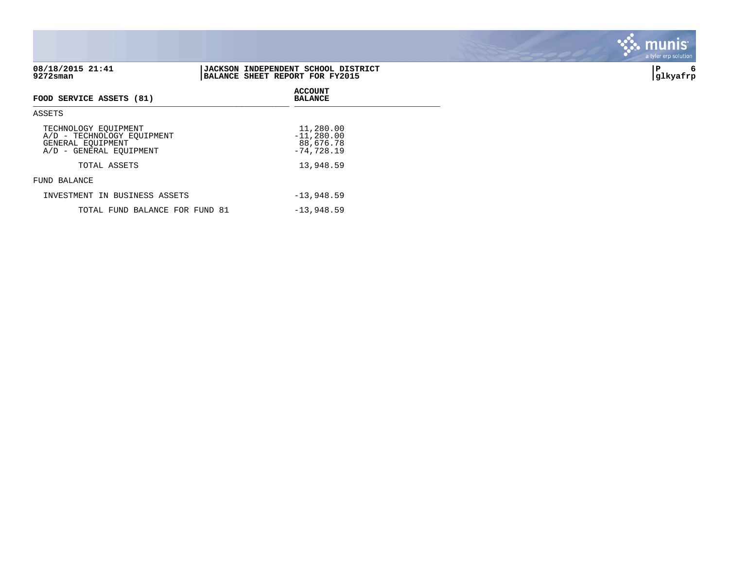| 08/18/2015 21:41<br>9272sman                                                                       | <b>JACKSON INDEPENDENT SCHOOL DISTRICT</b><br>BALANCE SHEET REPORT FOR FY2015 | ∣P<br>6<br> glkyafrp |
|----------------------------------------------------------------------------------------------------|-------------------------------------------------------------------------------|----------------------|
| FOOD SERVICE ASSETS (81)                                                                           | <b>ACCOUNT</b><br><b>BALANCE</b>                                              |                      |
| ASSETS                                                                                             |                                                                               |                      |
| TECHNOLOGY EQUIPMENT<br>A/D - TECHNOLOGY EQUIPMENT<br>GENERAL EQUIPMENT<br>A/D - GENERAL EQUIPMENT | 11,280.00<br>$-11,280.00$<br>88,676.78<br>$-74,728.19$                        |                      |
| TOTAL ASSETS                                                                                       | 13,948.59                                                                     |                      |
| FUND BALANCE                                                                                       |                                                                               |                      |
| INVESTMENT IN BUSINESS ASSETS                                                                      | $-13,948.59$                                                                  |                      |
| TOTAL FUND BALANCE FOR FUND 81                                                                     | $-13,948.59$                                                                  |                      |